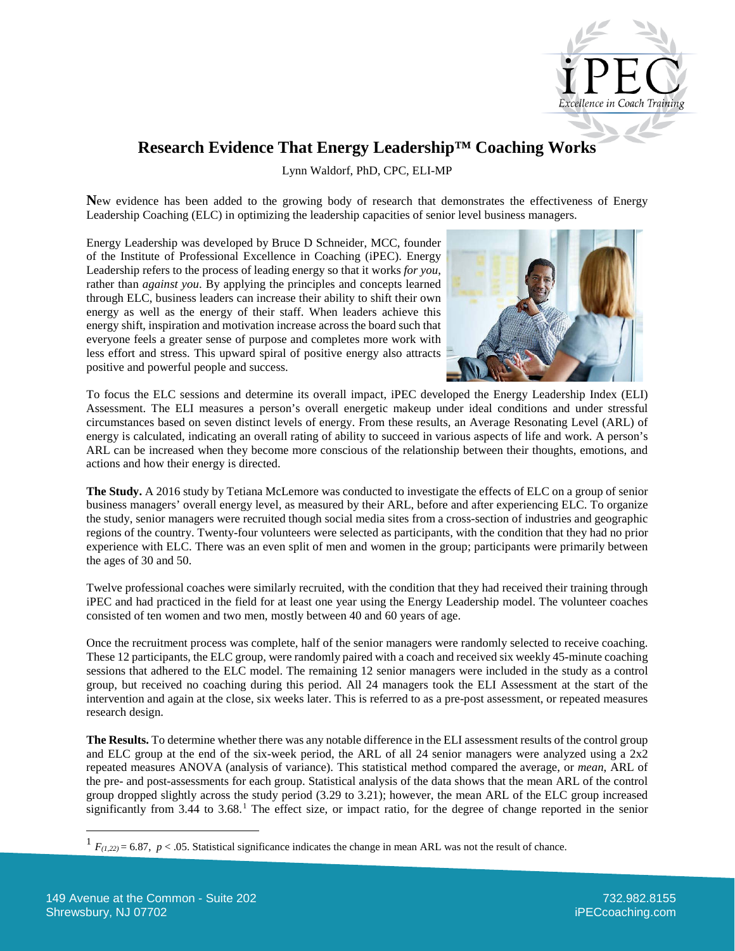

## **Research Evidence That Energy Leadership™ Coaching Works**

Lynn Waldorf, PhD, CPC, ELI-MP

**N**ew evidence has been added to the growing body of research that demonstrates the effectiveness of Energy Leadership Coaching (ELC) in optimizing the leadership capacities of senior level business managers.

Energy Leadership was developed by Bruce D Schneider, MCC, founder of the Institute of Professional Excellence in Coaching (iPEC). Energy Leadership refers to the process of leading energy so that it works *for you*, rather than *against you*. By applying the principles and concepts learned through ELC, business leaders can increase their ability to shift their own energy as well as the energy of their staff. When leaders achieve this energy shift, inspiration and motivation increase across the board such that everyone feels a greater sense of purpose and completes more work with less effort and stress. This upward spiral of positive energy also attracts positive and powerful people and success.



To focus the ELC sessions and determine its overall impact, iPEC developed the Energy Leadership Index (ELI) Assessment. The ELI measures a person's overall energetic makeup under ideal conditions and under stressful circumstances based on seven distinct levels of energy. From these results, an Average Resonating Level (ARL) of energy is calculated, indicating an overall rating of ability to succeed in various aspects of life and work. A person's ARL can be increased when they become more conscious of the relationship between their thoughts, emotions, and actions and how their energy is directed.

**The Study.** A 2016 study by Tetiana McLemore was conducted to investigate the effects of ELC on a group of senior business managers' overall energy level, as measured by their ARL, before and after experiencing ELC. To organize the study, senior managers were recruited though social media sites from a cross-section of industries and geographic regions of the country. Twenty-four volunteers were selected as participants, with the condition that they had no prior experience with ELC. There was an even split of men and women in the group; participants were primarily between the ages of 30 and 50.

Twelve professional coaches were similarly recruited, with the condition that they had received their training through iPEC and had practiced in the field for at least one year using the Energy Leadership model. The volunteer coaches consisted of ten women and two men, mostly between 40 and 60 years of age.

Once the recruitment process was complete, half of the senior managers were randomly selected to receive coaching. These 12 participants, the ELC group, were randomly paired with a coach and received six weekly 45-minute coaching sessions that adhered to the ELC model. The remaining 12 senior managers were included in the study as a control group, but received no coaching during this period. All 24 managers took the ELI Assessment at the start of the intervention and again at the close, six weeks later. This is referred to as a pre-post assessment, or repeated measures research design.

**The Results.** To determine whether there was any notable difference in the ELI assessment results of the control group and ELC group at the end of the six-week period, the ARL of all 24 senior managers were analyzed using a 2x2 repeated measures ANOVA (analysis of variance). This statistical method compared the average, or *mean*, ARL of the pre- and post-assessments for each group. Statistical analysis of the data shows that the mean ARL of the control group dropped slightly across the study period (3.29 to 3.21); however, the mean ARL of the ELC group increased significantly from  $3.44$  to  $3.68<sup>1</sup>$  $3.68<sup>1</sup>$  $3.68<sup>1</sup>$ . The effect size, or impact ratio, for the degree of change reported in the senior

<span id="page-0-0"></span> $1 F_{(1,22)} = 6.87$ ,  $p < .05$ . Statistical significance indicates the change in mean ARL was not the result of chance.